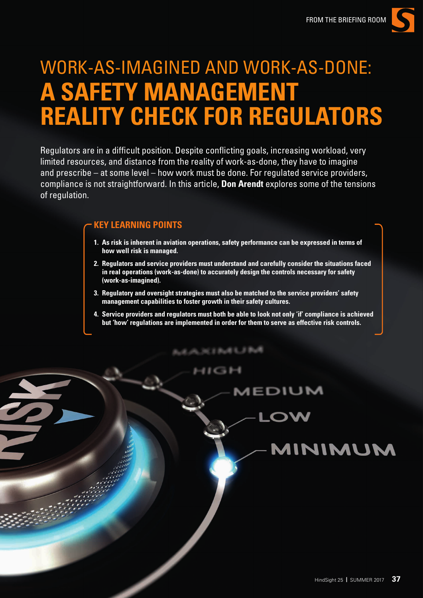

# WORK-AS-IMAGINED AND WORK-AS-DONE: **A SAFETY MANAGEMENT REALITY CHECK FOR REGULATORS**

Regulators are in a difficult position. Despite conflicting goals, increasing workload, very limited resources, and distance from the reality of work-as-done, they have to imagine and prescribe – at some level – how work must be done. For regulated service providers, compliance is not straightforward. In this article, **Don Arendt** explores some of the tensions of regulation.

## **KEY LEARNING POINTS**

- **1. As risk is inherent in aviation operations, safety performance can be expressed in terms of how well risk is managed.**
- **2. Regulators and service providers must understand and carefully consider the situations faced in real operations (work-as-done) to accurately design the controls necessary for safety (work-as-imagined).**
- **3. Regulatory and oversight strategies must also be matched to the service providers' safety management capabilities to foster growth in their safety cultures.**

人风沉扫的电子机线

**4. Service providers and regulators must both be able to look not only 'if' compliance is achieved but 'how' regulations are implemented in order for them to serve as effective risk controls.**

1 C 3 B **AEDIUM**  $\sim$ MINIMUM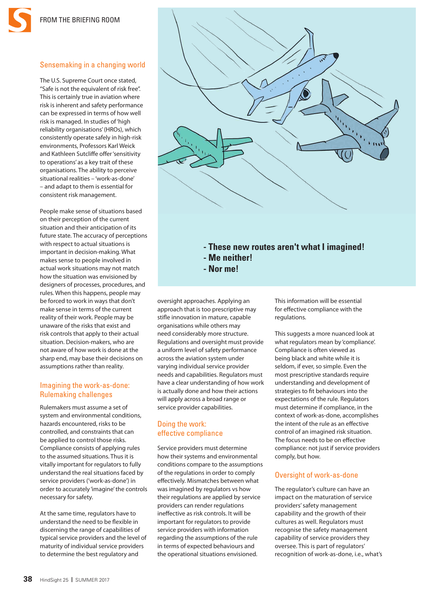## Sensemaking in a changing world

The U.S. Supreme Court once stated, "Safe is not the equivalent of risk free". This is certainly true in aviation where risk is inherent and safety performance can be expressed in terms of how well risk is managed. In studies of 'high reliability organisations' (HROs), which consistently operate safely in high-risk environments, Professors Karl Weick and Kathleen Sutcliffe offer 'sensitivity to operations' as a key trait of these organisations. The ability to perceive situational realities – 'work-as-done' – and adapt to them is essential for consistent risk management.

People make sense of situations based on their perception of the current situation and their anticipation of its future state. The accuracy of perceptions with respect to actual situations is important in decision-making. What makes sense to people involved in actual work situations may not match how the situation was envisioned by designers of processes, procedures, and rules. When this happens, people may be forced to work in ways that don't make sense in terms of the current reality of their work. People may be unaware of the risks that exist and risk controls that apply to their actual situation. Decision-makers, who are not aware of how work is done at the sharp end, may base their decisions on assumptions rather than reality.

#### Imagining the work-as-done: Rulemaking challenges

Rulemakers must assume a set of system and environmental conditions, hazards encountered, risks to be controlled, and constraints that can be applied to control those risks. Compliance consists of applying rules to the assumed situations. Thus it is vitally important for regulators to fully understand the real situations faced by service providers ('work-as-done') in order to accurately 'imagine' the controls necessary for safety.

At the same time, regulators have to understand the need to be flexible in discerning the range of capabilities of typical service providers and the level of maturity of individual service providers to determine the best regulatory and



- **These new routes aren't what I imagined!**
- **Me neither!**
- **Nor me!**

oversight approaches. Applying an approach that is too prescriptive may stifle innovation in mature, capable organisations while others may need considerably more structure. Regulations and oversight must provide a uniform level of safety performance across the aviation system under varying individual service provider needs and capabilities. Regulators must have a clear understanding of how work is actually done and how their actions will apply across a broad range or service provider capabilities.

#### Doing the work: effective compliance

Service providers must determine how their systems and environmental conditions compare to the assumptions of the regulations in order to comply effectively. Mismatches between what was imagined by regulators vs how their regulations are applied by service providers can render regulations ineffective as risk controls. It will be important for regulators to provide service providers with information regarding the assumptions of the rule in terms of expected behaviours and the operational situations envisioned.

This information will be essential for effective compliance with the regulations.

This suggests a more nuanced look at what regulators mean by 'compliance'. Compliance is often viewed as being black and white while it is seldom, if ever, so simple. Even the most prescriptive standards require understanding and development of strategies to fit behaviours into the expectations of the rule. Regulators must determine if compliance, in the context of work-as-done, accomplishes the intent of the rule as an effective control of an imagined risk situation. The focus needs to be on effective compliance: not just if service providers comply, but how.

#### Oversight of work-as-done

The regulator's culture can have an impact on the maturation of service providers' safety management capability and the growth of their cultures as well. Regulators must recognise the safety management capability of service providers they oversee. This is part of regulators' recognition of work-as-done, i.e., what's